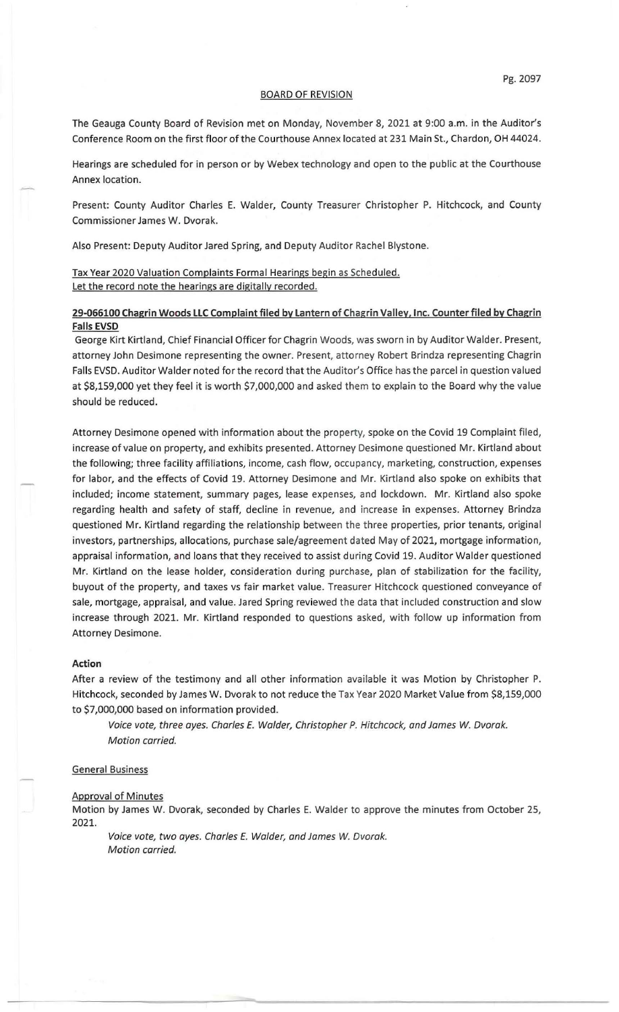## BOARD OF REVISION

The Geauga County Board of Revision met on Monday, November 8, 2021 at 9:00 a.m. in the Auditor's Conference Room on the first floor of the Courthouse Annex located at 231 Main St., Chardon, OH 44024.

Hearings are scheduled for in person or by Webex technology and open to the public at the Courthouse Annex location.

Present: County Auditor Charles E. Walder, County Treasurer Christopher P. Hitchcock, and County Commissioner James W. Dvorak.

Also Present: Deputy Auditor Jared Spring, and Deputy Auditor Rachel Blystone.

Tax Year 2020 Valuation Complaints Formal Hearings begin as Scheduled. Let the record note the hearings are digitally recorded.

## 29-066100 Chagrin Woods LLC Complaint filed by lantern of Chagrin Valley, Inc. Counter filed by Chagrin Falls EVSD

George Kirt Kirtland, Chief Financial Officer for Chagrin Woods, was sworn in by Auditor Walder. Present, attorney John Desimone representing the owner. Present, attorney Robert Brindza representing Chagrin Falls EVSD. Auditor Walder noted for the record that the Auditor's Office has the parcel in question valued at \$8,159,000 yet they feel it is worth \$7,000,000 and asked them to explain to the Board why the value should be reduced.

Attorney Desimone opened with information about the property, spoke on the Covid 19 Complaint filed, increase of value on property, and exhibits presented. Attorney Desimone questioned Mr. Kirtland about the following; three facility affiliations, income, cash flow, occupancy, marketing, construction, expenses for labor, and the effects of Covid 19. Attorney Desimone and Mr. Kirtland also spoke on exhibits that included; income statement, summary pages, lease expenses, and lockdown. Mr. Kirtland also spoke regarding health and safety of staff, decline in revenue, and increase in expenses. Attorney Brindza questioned Mr. Kirtland regarding the relationship between the three properties, prior tenants, original investors, partnerships, allocations, purchase sale/agreement dated May of 2021, mortgage information, appraisal information, and loans that they received to assist during Covid 19. Auditor Walder questioned Mr. Kirtland on the lease holder, consideration during purchase, plan of stabilization for the facility, buyout of the property, and taxes vs fair market value. Treasurer Hitchcock questioned conveyance of sale, mortgage, appraisal, and value. Jared Spring reviewed the data that included construction and slow increase through 2021. Mr. Kirtland responded to questions asked, with follow up information from Attorney Desimone.

## Action

After a review of the testimony and all other information available it was Motion by Christopher P. Hitchcock, seconded by James W. Dvorak to not reduce the Tax Year 2020 Market Value from \$8,159,000 to \$7,000,000 based on information provided.

Voice vote, three ayes. Charles E. Walder, Christopher P. Hitchcock, and James *W.* Dvorak. Motion carried.

## General Business

Approval of Minutes

Motion by James W. Dvorak, seconded by Charles E. Walder to approve the minutes from October 25, 2021.

Voice vote, two ayes. Charles E. Walder, and James *W.* Dvorak. Motion carried.